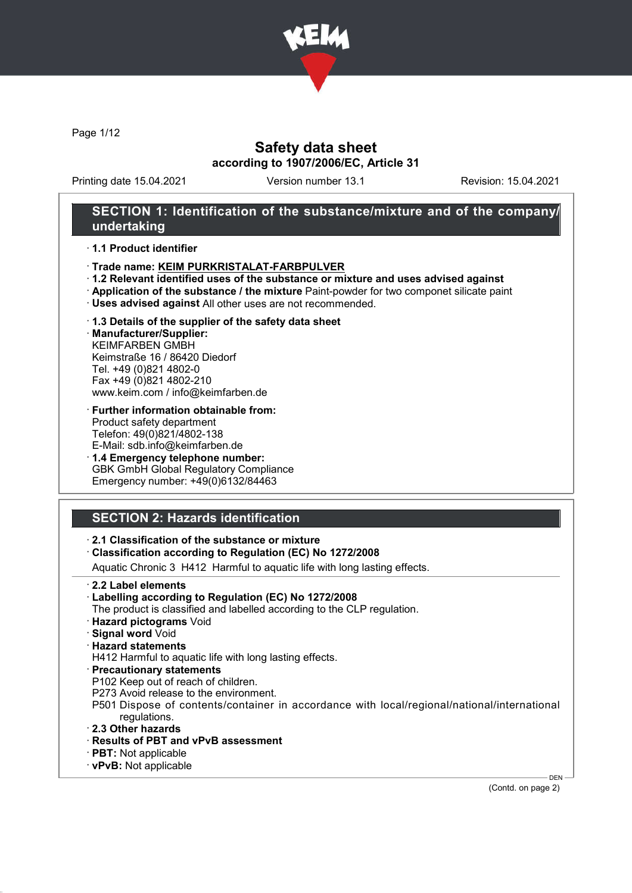

Page 1/12

# Safety data sheet according to 1907/2006/EC, Article 31

Printing date 15.04.2021 Version number 13.1 Revision: 15.04.2021

# SECTION 1: Identification of the substance/mixture and of the company/ undertaking

#### · 1.1 Product identifier

- · Trade name: KEIM PURKRISTALAT-FARBPULVER
- · 1.2 Relevant identified uses of the substance or mixture and uses advised against
- · Application of the substance / the mixture Paint-powder for two componet silicate paint
- · Uses advised against All other uses are not recommended.

#### · 1.3 Details of the supplier of the safety data sheet

· Manufacturer/Supplier: KEIMFARBEN GMBH Keimstraße 16 / 86420 Diedorf Tel. +49 (0)821 4802-0 Fax +49 (0)821 4802-210 www.keim.com / info@keimfarben.de

- · Further information obtainable from: Product safety department Telefon: 49(0)821/4802-138 E-Mail: sdb.info@keimfarben.de
- · 1.4 Emergency telephone number: GBK GmbH Global Regulatory Compliance Emergency number: +49(0)6132/84463

# SECTION 2: Hazards identification

## · 2.1 Classification of the substance or mixture

#### · Classification according to Regulation (EC) No 1272/2008

Aquatic Chronic 3 H412 Harmful to aquatic life with long lasting effects.

- · 2.2 Label elements
- · Labelling according to Regulation (EC) No 1272/2008
- The product is classified and labelled according to the CLP regulation.
- · Hazard pictograms Void
- · Signal word Void
- · Hazard statements

H412 Harmful to aquatic life with long lasting effects.

- · Precautionary statements
- P102 Keep out of reach of children.
- P273 Avoid release to the environment.
- P501 Dispose of contents/container in accordance with local/regional/national/international regulations.
- · 2.3 Other hazards
- · Results of PBT and vPvB assessment
- · PBT: Not applicable
- · vPvB: Not applicable

(Contd. on page 2)

DEN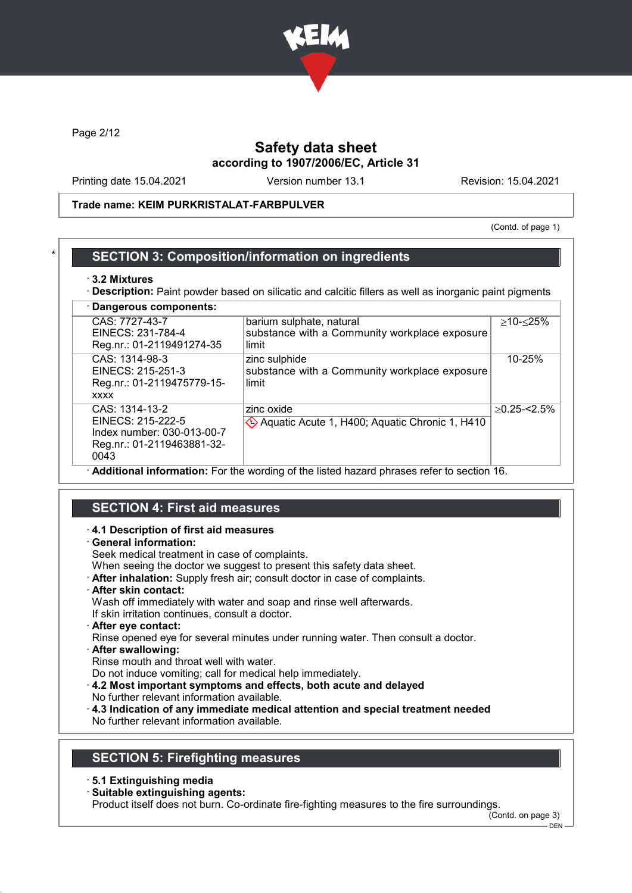

Page 2/12

# Safety data sheet according to 1907/2006/EC, Article 31

Printing date 15.04.2021 Version number 13.1 Revision: 15.04.2021

### Trade name: KEIM PURKRISTALAT-FARBPULVER

(Contd. of page 1)

## **SECTION 3: Composition/information on ingredients**

#### · 3.2 Mixtures

· Description: Paint powder based on silicatic and calcitic fillers as well as inorganic paint pigments · Dangerous components:

| Dangerous components.                                                                                   |                                                                                    |                 |
|---------------------------------------------------------------------------------------------------------|------------------------------------------------------------------------------------|-----------------|
| CAS: 7727-43-7<br>EINECS: 231-784-4<br>Reg.nr.: 01-2119491274-35                                        | barium sulphate, natural<br>substance with a Community workplace exposure<br>limit | ≥10-≤25%        |
| CAS: 1314-98-3<br>EINECS: 215-251-3<br>Reg.nr.: 01-2119475779-15-<br><b>XXXX</b>                        | zinc sulphide<br>substance with a Community workplace exposure<br>limit            | 10-25%          |
| CAS: 1314-13-2<br>EINECS: 215-222-5<br>Index number: 030-013-00-7<br>Reg.nr.: 01-2119463881-32-<br>0043 | zinc oxide<br>Aquatic Acute 1, H400; Aquatic Chronic 1, H410                       | $>0.25 - 2.5\%$ |
| Additional information: For the wording of the listed hazard phrases refer to section 16.               |                                                                                    |                 |

## SECTION 4: First aid measures

#### · 4.1 Description of first aid measures

#### · General information:

Seek medical treatment in case of complaints.

When seeing the doctor we suggest to present this safety data sheet.

- · After inhalation: Supply fresh air; consult doctor in case of complaints.
- · After skin contact:

Wash off immediately with water and soap and rinse well afterwards.

If skin irritation continues, consult a doctor.

· After eye contact:

Rinse opened eye for several minutes under running water. Then consult a doctor. · After swallowing:

Rinse mouth and throat well with water.

Do not induce vomiting; call for medical help immediately.

- · 4.2 Most important symptoms and effects, both acute and delayed
- No further relevant information available.
- · 4.3 Indication of any immediate medical attention and special treatment needed No further relevant information available.

# SECTION 5: Firefighting measures

- · 5.1 Extinguishing media
- · Suitable extinguishing agents:

Product itself does not burn. Co-ordinate fire-fighting measures to the fire surroundings.

(Contd. on page 3)

DEN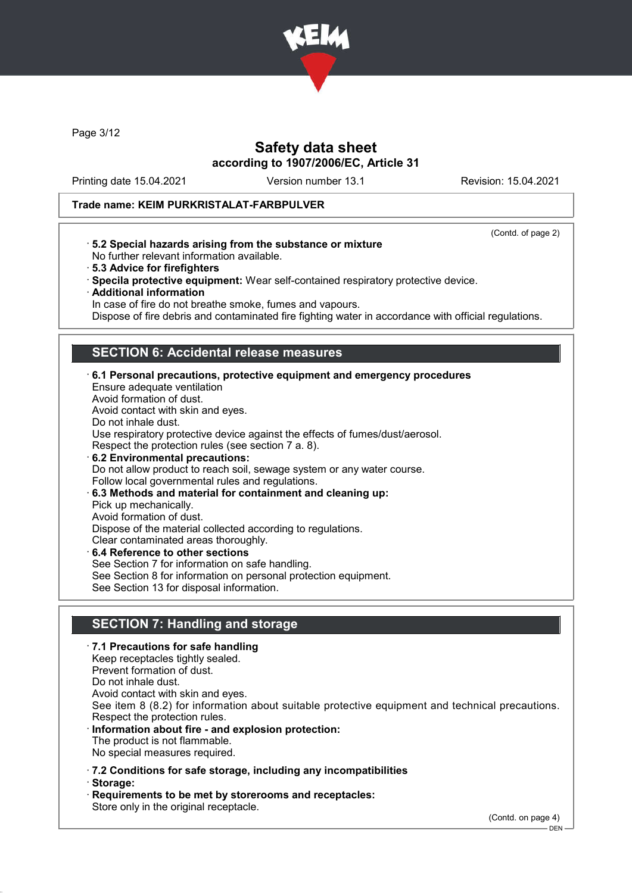

Page 3/12

# Safety data sheet according to 1907/2006/EC, Article 31

Printing date 15.04.2021 Version number 13.1 Revision: 15.04.2021

### Trade name: KEIM PURKRISTALAT-FARBPULVER

(Contd. of page 2)

- · 5.2 Special hazards arising from the substance or mixture No further relevant information available.
- · 5.3 Advice for firefighters
- · Specila protective equipment: Wear self-contained respiratory protective device.
- · Additional information

In case of fire do not breathe smoke, fumes and vapours.

Dispose of fire debris and contaminated fire fighting water in accordance with official regulations.

## SECTION 6: Accidental release measures

· 6.1 Personal precautions, protective equipment and emergency procedures Ensure adequate ventilation Avoid formation of dust. Avoid contact with skin and eyes. Do not inhale dust. Use respiratory protective device against the effects of fumes/dust/aerosol. Respect the protection rules (see section 7 a. 8). · 6.2 Environmental precautions: Do not allow product to reach soil, sewage system or any water course. Follow local governmental rules and regulations. · 6.3 Methods and material for containment and cleaning up: Pick up mechanically. Avoid formation of dust. Dispose of the material collected according to regulations. Clear contaminated areas thoroughly. 6.4 Reference to other sections See Section 7 for information on safe handling. See Section 8 for information on personal protection equipment. See Section 13 for disposal information.

# SECTION 7: Handling and storage

· 7.1 Precautions for safe handling Keep receptacles tightly sealed. Prevent formation of dust. Do not inhale dust. Avoid contact with skin and eyes. See item 8 (8.2) for information about suitable protective equipment and technical precautions. Respect the protection rules. Information about fire - and explosion protection: The product is not flammable. No special measures required. · 7.2 Conditions for safe storage, including any incompatibilities · Storage: Requirements to be met by storerooms and receptacles:

Store only in the original receptacle.

(Contd. on page 4)

 $-$  DEN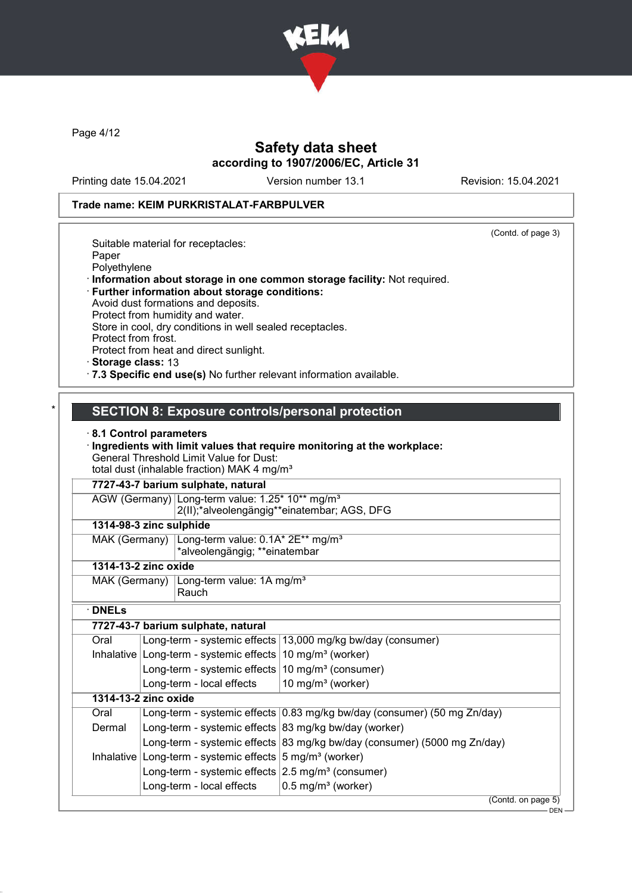

Page 4/12

# Safety data sheet according to 1907/2006/EC, Article 31

Printing date 15.04.2021 Version number 13.1 Revision: 15.04.2021

(Contd. of page 3)

#### Trade name: KEIM PURKRISTALAT-FARBPULVER

Suitable material for receptacles: Paper Polyethylene · Information about storage in one common storage facility: Not required. · Further information about storage conditions: Avoid dust formations and deposits. Protect from humidity and water.

Store in cool, dry conditions in well sealed receptacles. Protect from frost.

Protect from heat and direct sunlight.

· Storage class: 13

· 7.3 Specific end use(s) No further relevant information available.

## SECTION 8: Exposure controls/personal protection

#### · 8.1 Control parameters

· Ingredients with limit values that require monitoring at the workplace: General Threshold Limit Value for Dust: total dust (inhalable fraction) MAK 4 mg/m<sup>3</sup>

7727-43-7 barium sulphate, natural

| AGW (Germany) Long-term value: 1.25* 10** mg/m <sup>3</sup> |
|-------------------------------------------------------------|
| 2(II);*alveolengängig**einatembar; AGS, DFG                 |

# 1314-98-3 zinc sulphide

| MAK (Germany) $\lfloor$ Long-term value: 0.1A* 2E** mg/m <sup>3</sup> |
|-----------------------------------------------------------------------|
| *alveolengängig; **einatembar                                         |

## 1314-13-2 zinc oxide

MAK (Germany) Long-term value: 1A mg/m<sup>3</sup> Rauch

· DNELs

|              | 7727-43-7 barium sulphate, natural                               |                                                                          |  |  |
|--------------|------------------------------------------------------------------|--------------------------------------------------------------------------|--|--|
| Oral         |                                                                  | Long-term - systemic effects   13,000 mg/kg bw/day (consumer)            |  |  |
| Inhalative   | Long-term - systemic effects $10 \text{ mg/m}^3$ (worker)        |                                                                          |  |  |
|              | Long-term - systemic effects $ 10 \text{ mg/m}^3$ (consumer)     |                                                                          |  |  |
|              | Long-term - local effects                                        | 10 mg/m $3$ (worker)                                                     |  |  |
|              | 1314-13-2 zinc oxide                                             |                                                                          |  |  |
| Oral         |                                                                  | Long-term - systemic effects 0.83 mg/kg bw/day (consumer) (50 mg Zn/day) |  |  |
| Dermal       | Long-term - systemic effects $ 83 \text{ mg/kg}$ bw/day (worker) |                                                                          |  |  |
|              |                                                                  | Long-term - systemic effects 83 mg/kg bw/day (consumer) (5000 mg Zn/day) |  |  |
| Inhalative I | Long-term - systemic effects $5 \text{ mg/m}^3$ (worker)         |                                                                          |  |  |
|              | Long-term - systemic effects $2.5 \text{ mg/m}^3$ (consumer)     |                                                                          |  |  |
|              | Long-term - local effects                                        | $0.5 \,\mathrm{mg/m^3}$ (worker)                                         |  |  |
|              |                                                                  | (Contd. on page 5)                                                       |  |  |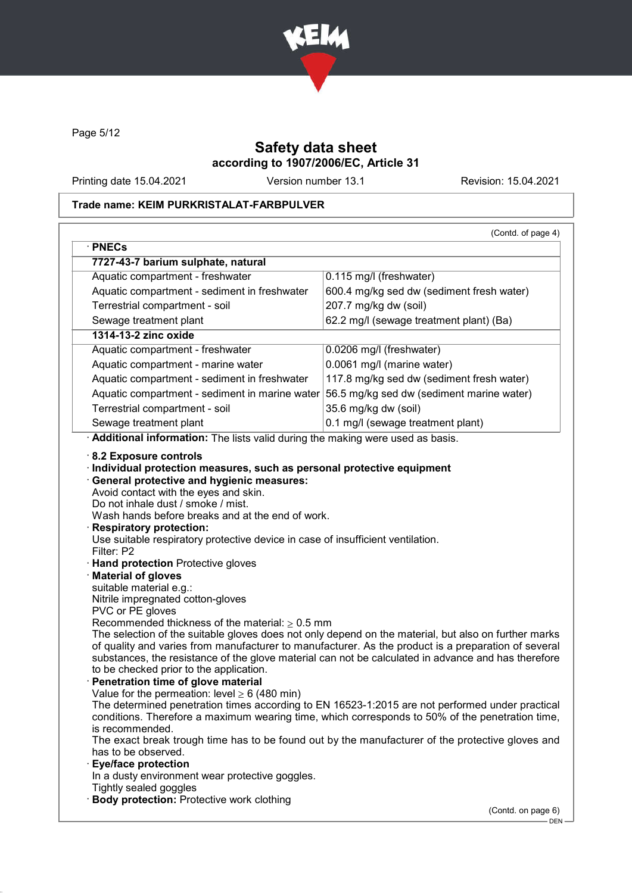

Page 5/12

# Safety data sheet according to 1907/2006/EC, Article 31

Printing date 15.04.2021 Version number 13.1 Revision: 15.04.2021

# Trade name: KEIM PURKRISTALAT-FARBPULVER

| · PNECs                                                                                                                                                                                                                                                                                                       | (Contd. of page 4)                                                                                   |
|---------------------------------------------------------------------------------------------------------------------------------------------------------------------------------------------------------------------------------------------------------------------------------------------------------------|------------------------------------------------------------------------------------------------------|
| 7727-43-7 barium sulphate, natural                                                                                                                                                                                                                                                                            |                                                                                                      |
| Aquatic compartment - freshwater                                                                                                                                                                                                                                                                              | 0.115 mg/l (freshwater)                                                                              |
| Aquatic compartment - sediment in freshwater                                                                                                                                                                                                                                                                  | 600.4 mg/kg sed dw (sediment fresh water)                                                            |
| Terrestrial compartment - soil                                                                                                                                                                                                                                                                                | 207.7 mg/kg dw (soil)                                                                                |
| Sewage treatment plant                                                                                                                                                                                                                                                                                        | 62.2 mg/l (sewage treatment plant) (Ba)                                                              |
| 1314-13-2 zinc oxide                                                                                                                                                                                                                                                                                          |                                                                                                      |
|                                                                                                                                                                                                                                                                                                               |                                                                                                      |
| Aquatic compartment - freshwater                                                                                                                                                                                                                                                                              | 0.0206 mg/l (freshwater)                                                                             |
| Aquatic compartment - marine water                                                                                                                                                                                                                                                                            | 0.0061 mg/l (marine water)                                                                           |
| Aquatic compartment - sediment in freshwater                                                                                                                                                                                                                                                                  | 117.8 mg/kg sed dw (sediment fresh water)                                                            |
| Aquatic compartment - sediment in marine water                                                                                                                                                                                                                                                                | 56.5 mg/kg sed dw (sediment marine water)                                                            |
| Terrestrial compartment - soil                                                                                                                                                                                                                                                                                | 35.6 mg/kg dw (soil)                                                                                 |
| Sewage treatment plant                                                                                                                                                                                                                                                                                        | 0.1 mg/l (sewage treatment plant)                                                                    |
| Additional information: The lists valid during the making were used as basis.                                                                                                                                                                                                                                 |                                                                                                      |
| Use suitable respiratory protective device in case of insufficient ventilation.<br>Filter: P2<br><b>Hand protection Protective gloves</b>                                                                                                                                                                     |                                                                                                      |
| <b>Material of gloves</b><br>suitable material e.g.:<br>Nitrile impregnated cotton-gloves                                                                                                                                                                                                                     |                                                                                                      |
| PVC or PE gloves                                                                                                                                                                                                                                                                                              |                                                                                                      |
| Recommended thickness of the material: $\geq 0.5$ mm<br>of quality and varies from manufacturer to manufacturer. As the product is a preparation of several<br>substances, the resistance of the glove material can not be calculated in advance and has therefore<br>to be checked prior to the application. | The selection of the suitable gloves does not only depend on the material, but also on further marks |
| · Penetration time of glove material                                                                                                                                                                                                                                                                          |                                                                                                      |
| Value for the permeation: level $\geq 6$ (480 min)<br>The determined penetration times according to EN 16523-1:2015 are not performed under practical<br>conditions. Therefore a maximum wearing time, which corresponds to 50% of the penetration time,                                                      |                                                                                                      |
| is recommended.<br>The exact break trough time has to be found out by the manufacturer of the protective gloves and<br>has to be observed.                                                                                                                                                                    |                                                                                                      |
| <b>Eye/face protection</b><br>In a dusty environment wear protective goggles.<br>Tightly sealed goggles                                                                                                                                                                                                       |                                                                                                      |
| <b>Body protection: Protective work clothing</b>                                                                                                                                                                                                                                                              |                                                                                                      |
|                                                                                                                                                                                                                                                                                                               | (Contd. on page 6)                                                                                   |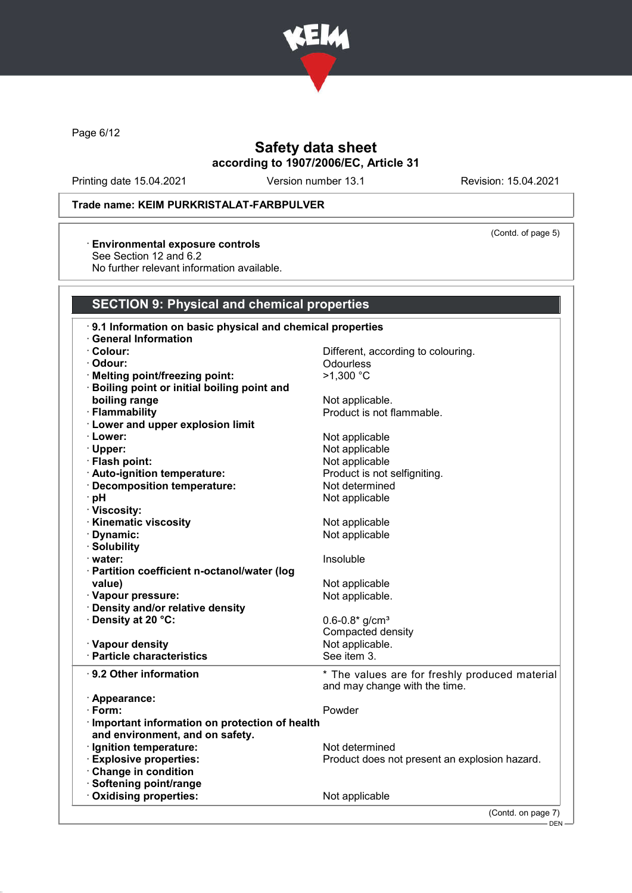

Page 6/12

# Safety data sheet according to 1907/2006/EC, Article 31

Printing date 15.04.2021 Version number 13.1 Revision: 15.04.2021

(Contd. of page 5)

## Trade name: KEIM PURKRISTALAT-FARBPULVER

#### · Environmental exposure controls

See Section 12 and 6.2

No further relevant information available.

## SECTION 9: Physical and chemical properties

| 9.1 Information on basic physical and chemical properties |                                                                                 |
|-----------------------------------------------------------|---------------------------------------------------------------------------------|
| · General Information                                     |                                                                                 |
| · Colour:                                                 | Different, according to colouring.                                              |
| · Odour:                                                  | Odourless                                                                       |
| · Melting point/freezing point:                           | >1,300 °C                                                                       |
| · Boiling point or initial boiling point and              |                                                                                 |
| boiling range                                             | Not applicable.                                                                 |
| · Flammability                                            | Product is not flammable.                                                       |
| · Lower and upper explosion limit                         |                                                                                 |
| · Lower:                                                  | Not applicable                                                                  |
| · Upper:                                                  | Not applicable                                                                  |
| · Flash point:                                            | Not applicable                                                                  |
| · Auto-ignition temperature:                              | Product is not selfigniting.                                                    |
| · Decomposition temperature:                              | Not determined                                                                  |
| ∙ pH                                                      | Not applicable                                                                  |
| · Viscosity:                                              |                                                                                 |
| <b>Kinematic viscosity</b>                                | Not applicable                                                                  |
| · Dynamic:                                                | Not applicable                                                                  |
| · Solubility                                              |                                                                                 |
| · water:                                                  | Insoluble                                                                       |
| · Partition coefficient n-octanol/water (log              |                                                                                 |
| value)                                                    | Not applicable                                                                  |
| · Vapour pressure:                                        | Not applicable.                                                                 |
| Density and/or relative density                           |                                                                                 |
| · Density at 20 °C:                                       | $0.6 - 0.8*$ g/cm <sup>3</sup>                                                  |
|                                                           | Compacted density                                                               |
| · Vapour density                                          | Not applicable.                                                                 |
| · Particle characteristics                                | See item 3.                                                                     |
|                                                           |                                                                                 |
| $\cdot$ 9.2 Other information                             | * The values are for freshly produced material<br>and may change with the time. |
| · Appearance:                                             |                                                                                 |
| · Form:                                                   | Powder                                                                          |
| · Important information on protection of health           |                                                                                 |
| and environment, and on safety.                           |                                                                                 |
| · Ignition temperature:                                   | Not determined                                                                  |
| <b>Explosive properties:</b>                              | Product does not present an explosion hazard.                                   |
| Change in condition                                       |                                                                                 |
| · Softening point/range                                   |                                                                                 |
| Oxidising properties:                                     | Not applicable                                                                  |
|                                                           | (Contd. on page 7)                                                              |
|                                                           |                                                                                 |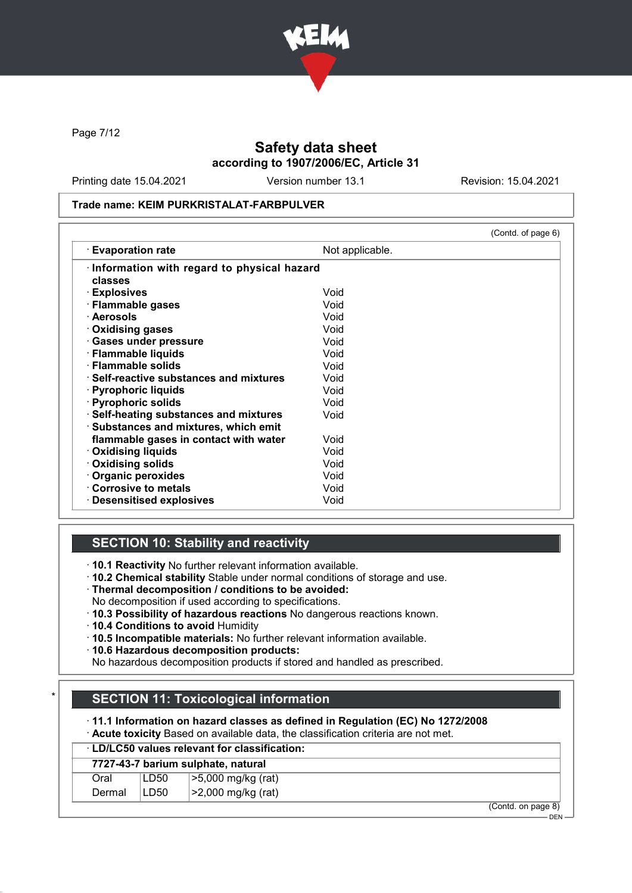

Page 7/12

# Safety data sheet according to 1907/2006/EC, Article 31

Printing date 15.04.2021 Version number 13.1 Revision: 15.04.2021

#### Trade name: KEIM PURKRISTALAT-FARBPULVER

|                                               |                 | (Contd. of page 6) |
|-----------------------------------------------|-----------------|--------------------|
| <b>Evaporation rate</b>                       | Not applicable. |                    |
| · Information with regard to physical hazard  |                 |                    |
| classes                                       |                 |                    |
| · Explosives                                  | Void            |                    |
| · Flammable gases                             | Void            |                    |
| · Aerosols                                    | Void            |                    |
| Oxidising gases                               | Void            |                    |
| · Gases under pressure                        | Void            |                    |
| · Flammable liquids                           | Void            |                    |
| · Flammable solids                            | Void            |                    |
| $\cdot$ Self-reactive substances and mixtures | Void            |                    |
| · Pyrophoric liquids                          | Void            |                    |
| · Pyrophoric solids                           | Void            |                    |
| · Self-heating substances and mixtures        | Void            |                    |
| · Substances and mixtures, which emit         |                 |                    |
| flammable gases in contact with water         | Void            |                    |
| <b>Oxidising liquids</b>                      | Void            |                    |
| Oxidising solids                              | Void            |                    |
| · Organic peroxides                           | Void            |                    |
| Corrosive to metals                           | Void            |                    |
| <b>Desensitised explosives</b>                | Void            |                    |

# SECTION 10: Stability and reactivity

· 10.1 Reactivity No further relevant information available.

- · 10.2 Chemical stability Stable under normal conditions of storage and use.
- · Thermal decomposition / conditions to be avoided:
- No decomposition if used according to specifications.
- · 10.3 Possibility of hazardous reactions No dangerous reactions known.
- · 10.4 Conditions to avoid Humidity
- · 10.5 Incompatible materials: No further relevant information available.
- · 10.6 Hazardous decomposition products:

No hazardous decomposition products if stored and handled as prescribed.

# **SECTION 11: Toxicological information**

· 11.1 Information on hazard classes as defined in Regulation (EC) No 1272/2008

· Acute toxicity Based on available data, the classification criteria are not met.

## · LD/LC50 values relevant for classification:

|        | 7727-43-7 barium sulphate, natural |                    |        |               |        |
|--------|------------------------------------|--------------------|--------|---------------|--------|
| ⊃ral   | LD50                               | >5,000 mg/kg (rat) |        |               |        |
| Dermal | LD50                               | >2,000 mg/kg (rat) |        |               |        |
|        |                                    |                    | $\sim$ | $\sim$ $\sim$ | $\sim$ |

(Contd. on page 8)  $-$  DEN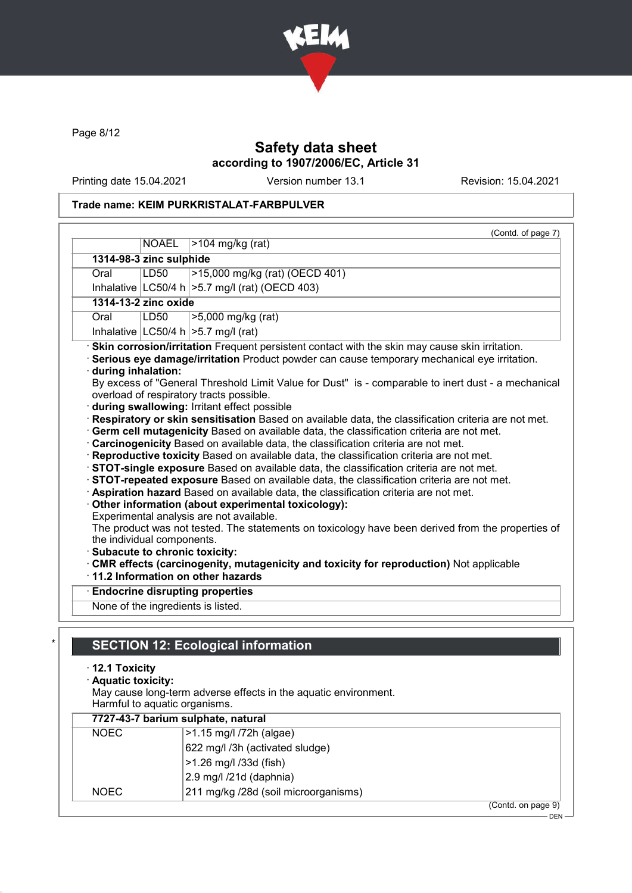

Page 8/12

# Safety data sheet according to 1907/2006/EC, Article 31

Printing date 15.04.2021 Version number 13.1 Revision: 15.04.2021

# Trade name: KEIM PURKRISTALAT-FARBPULVER

|                         |                                                             | (Contd. of page 7)                                                                                                                                                                                                                                                                                                                                                                                                                                                                                                                                                                                                                                                                                                                                                                                                                                                                                                                                                                                                                                                                                                                                                                                                                                                                                       |
|-------------------------|-------------------------------------------------------------|----------------------------------------------------------------------------------------------------------------------------------------------------------------------------------------------------------------------------------------------------------------------------------------------------------------------------------------------------------------------------------------------------------------------------------------------------------------------------------------------------------------------------------------------------------------------------------------------------------------------------------------------------------------------------------------------------------------------------------------------------------------------------------------------------------------------------------------------------------------------------------------------------------------------------------------------------------------------------------------------------------------------------------------------------------------------------------------------------------------------------------------------------------------------------------------------------------------------------------------------------------------------------------------------------------|
|                         | <b>NOAEL</b>                                                | $>104$ mg/kg (rat)                                                                                                                                                                                                                                                                                                                                                                                                                                                                                                                                                                                                                                                                                                                                                                                                                                                                                                                                                                                                                                                                                                                                                                                                                                                                                       |
| 1314-98-3 zinc sulphide |                                                             |                                                                                                                                                                                                                                                                                                                                                                                                                                                                                                                                                                                                                                                                                                                                                                                                                                                                                                                                                                                                                                                                                                                                                                                                                                                                                                          |
| Oral                    | >15,000 mg/kg (rat) (OECD 401)<br>LD50                      |                                                                                                                                                                                                                                                                                                                                                                                                                                                                                                                                                                                                                                                                                                                                                                                                                                                                                                                                                                                                                                                                                                                                                                                                                                                                                                          |
|                         |                                                             | Inhalative $ LC50/4 h  > 5.7$ mg/l (rat) (OECD 403)                                                                                                                                                                                                                                                                                                                                                                                                                                                                                                                                                                                                                                                                                                                                                                                                                                                                                                                                                                                                                                                                                                                                                                                                                                                      |
|                         | 1314-13-2 zinc oxide                                        |                                                                                                                                                                                                                                                                                                                                                                                                                                                                                                                                                                                                                                                                                                                                                                                                                                                                                                                                                                                                                                                                                                                                                                                                                                                                                                          |
| Oral                    | LD50                                                        | >5,000 mg/kg (rat)                                                                                                                                                                                                                                                                                                                                                                                                                                                                                                                                                                                                                                                                                                                                                                                                                                                                                                                                                                                                                                                                                                                                                                                                                                                                                       |
|                         |                                                             | Inhalative $ LC50/4 h  > 5.7 mg/l$ (rat)                                                                                                                                                                                                                                                                                                                                                                                                                                                                                                                                                                                                                                                                                                                                                                                                                                                                                                                                                                                                                                                                                                                                                                                                                                                                 |
| during inhalation:      | the individual components.<br>Subacute to chronic toxicity: | Serious eye damage/irritation Product powder can cause temporary mechanical eye irritation.<br>By excess of "General Threshold Limit Value for Dust" is - comparable to inert dust - a mechanical<br>overload of respiratory tracts possible.<br>during swallowing: Irritant effect possible<br>Respiratory or skin sensitisation Based on available data, the classification criteria are not met.<br>Germ cell mutagenicity Based on available data, the classification criteria are not met.<br>· Carcinogenicity Based on available data, the classification criteria are not met.<br>· Reproductive toxicity Based on available data, the classification criteria are not met.<br>STOT-single exposure Based on available data, the classification criteria are not met.<br>STOT-repeated exposure Based on available data, the classification criteria are not met.<br>Aspiration hazard Based on available data, the classification criteria are not met.<br>Other information (about experimental toxicology):<br>Experimental analysis are not available.<br>The product was not tested. The statements on toxicology have been derived from the properties of<br>. CMR effects (carcinogenity, mutagenicity and toxicity for reproduction) Not applicable<br>11.2 Information on other hazards |
|                         | <b>Endocrine disrupting properties</b>                      |                                                                                                                                                                                                                                                                                                                                                                                                                                                                                                                                                                                                                                                                                                                                                                                                                                                                                                                                                                                                                                                                                                                                                                                                                                                                                                          |

Harmful to aquatic organisms.

|             | 7727-43-7 barium sulphate, natural   |                    |  |
|-------------|--------------------------------------|--------------------|--|
| <b>NOEC</b> | >1.15 mg/l /72h (algae)              |                    |  |
|             | 622 mg/l /3h (activated sludge)      |                    |  |
|             | >1.26 mg/l /33d (fish)               |                    |  |
|             | 2.9 mg/l /21d (daphnia)              |                    |  |
| <b>NOEC</b> | 211 mg/kg /28d (soil microorganisms) |                    |  |
|             |                                      | (Contd. on page 9) |  |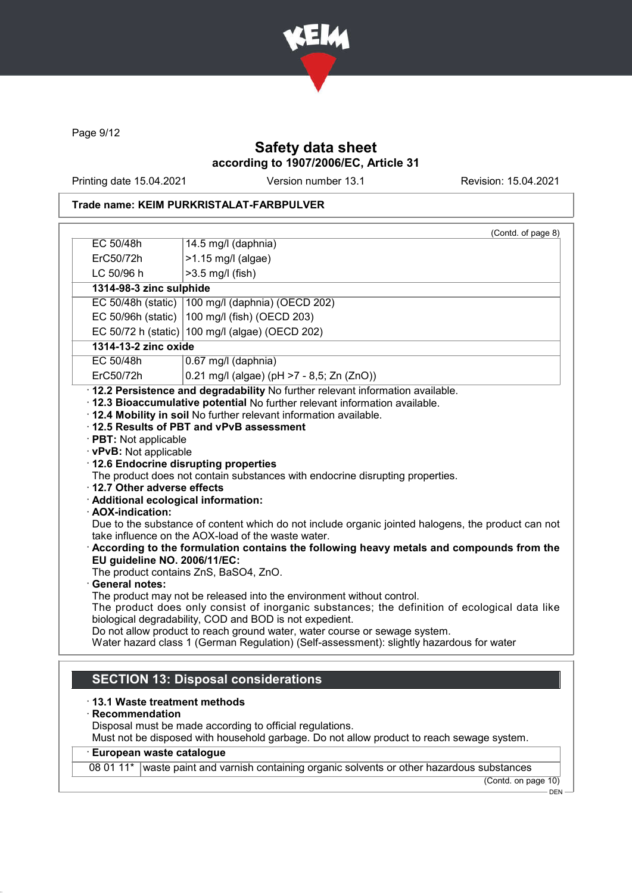

Page 9/12

# Safety data sheet according to 1907/2006/EC, Article 31

Printing date 15.04.2021 Version number 13.1 Revision: 15.04.2021

# Trade name: KEIM PURKRISTALAT-FARBPULVER

|                                                                                                                                                                                                     | (Contd. of page 8)                                                                                                                                                                                                                                                                                                                                                                                                                                                                                                                                                                                                                                                                                                                                                                                                                                                                                                                                            |
|-----------------------------------------------------------------------------------------------------------------------------------------------------------------------------------------------------|---------------------------------------------------------------------------------------------------------------------------------------------------------------------------------------------------------------------------------------------------------------------------------------------------------------------------------------------------------------------------------------------------------------------------------------------------------------------------------------------------------------------------------------------------------------------------------------------------------------------------------------------------------------------------------------------------------------------------------------------------------------------------------------------------------------------------------------------------------------------------------------------------------------------------------------------------------------|
| EC 50/48h                                                                                                                                                                                           | 14.5 mg/l (daphnia)                                                                                                                                                                                                                                                                                                                                                                                                                                                                                                                                                                                                                                                                                                                                                                                                                                                                                                                                           |
| ErC50/72h                                                                                                                                                                                           | $>1.15$ mg/l (algae)                                                                                                                                                                                                                                                                                                                                                                                                                                                                                                                                                                                                                                                                                                                                                                                                                                                                                                                                          |
| LC 50/96 h                                                                                                                                                                                          | >3.5 mg/l (fish)                                                                                                                                                                                                                                                                                                                                                                                                                                                                                                                                                                                                                                                                                                                                                                                                                                                                                                                                              |
| 1314-98-3 zinc sulphide                                                                                                                                                                             |                                                                                                                                                                                                                                                                                                                                                                                                                                                                                                                                                                                                                                                                                                                                                                                                                                                                                                                                                               |
|                                                                                                                                                                                                     | EC 50/48h (static)   100 mg/l (daphnia) (OECD 202)                                                                                                                                                                                                                                                                                                                                                                                                                                                                                                                                                                                                                                                                                                                                                                                                                                                                                                            |
|                                                                                                                                                                                                     | EC 50/96h (static)   100 mg/l (fish) (OECD 203)                                                                                                                                                                                                                                                                                                                                                                                                                                                                                                                                                                                                                                                                                                                                                                                                                                                                                                               |
|                                                                                                                                                                                                     | EC 50/72 h (static) 100 mg/l (algae) (OECD 202)                                                                                                                                                                                                                                                                                                                                                                                                                                                                                                                                                                                                                                                                                                                                                                                                                                                                                                               |
| 1314-13-2 zinc oxide                                                                                                                                                                                |                                                                                                                                                                                                                                                                                                                                                                                                                                                                                                                                                                                                                                                                                                                                                                                                                                                                                                                                                               |
| EC 50/48h                                                                                                                                                                                           | 0.67 mg/l (daphnia)                                                                                                                                                                                                                                                                                                                                                                                                                                                                                                                                                                                                                                                                                                                                                                                                                                                                                                                                           |
| ErC50/72h                                                                                                                                                                                           | 0.21 mg/l (algae) (pH >7 - 8,5; Zn (ZnO))                                                                                                                                                                                                                                                                                                                                                                                                                                                                                                                                                                                                                                                                                                                                                                                                                                                                                                                     |
| · PBT: Not applicable<br>· vPvB: Not applicable<br>12.7 Other adverse effects<br>· Additional ecological information:<br>· AOX-indication:<br>EU guideline NO. 2006/11/EC:<br><b>General notes:</b> | . 12.4 Mobility in soil No further relevant information available.<br>12.5 Results of PBT and vPvB assessment<br>12.6 Endocrine disrupting properties<br>The product does not contain substances with endocrine disrupting properties.<br>Due to the substance of content which do not include organic jointed halogens, the product can not<br>take influence on the AOX-load of the waste water.<br>$\cdot$ According to the formulation contains the following heavy metals and compounds from the<br>The product contains ZnS, BaSO4, ZnO.<br>The product may not be released into the environment without control.<br>The product does only consist of inorganic substances; the definition of ecological data like<br>biological degradability, COD and BOD is not expedient.<br>Do not allow product to reach ground water, water course or sewage system.<br>Water hazard class 1 (German Regulation) (Self-assessment): slightly hazardous for water |
| · 13.1 Waste treatment methods<br>Recommendation                                                                                                                                                    | <b>SECTION 13: Disposal considerations</b><br>Disposal must be made according to official regulations.<br>Must not be disposed with household garbage. Do not allow product to reach sewage system.                                                                                                                                                                                                                                                                                                                                                                                                                                                                                                                                                                                                                                                                                                                                                           |
| · European waste catalogue                                                                                                                                                                          |                                                                                                                                                                                                                                                                                                                                                                                                                                                                                                                                                                                                                                                                                                                                                                                                                                                                                                                                                               |
|                                                                                                                                                                                                     | 08 01 11*   waste paint and varnish containing organic solvents or other hazardous substances                                                                                                                                                                                                                                                                                                                                                                                                                                                                                                                                                                                                                                                                                                                                                                                                                                                                 |

(Contd. on page 10)  $-\overline{$  DEN  $-$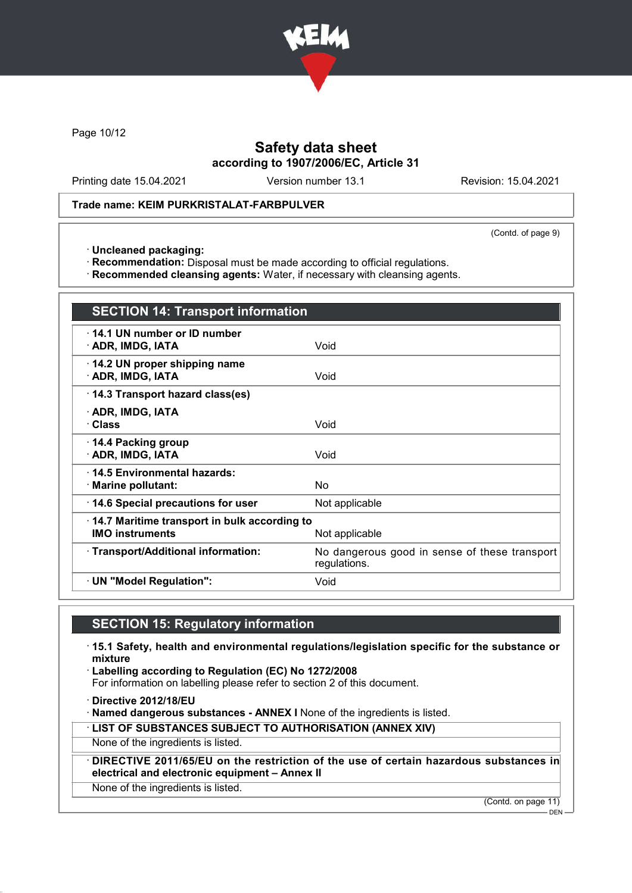

Page 10/12

# Safety data sheet according to 1907/2006/EC, Article 31

Printing date 15.04.2021 Version number 13.1 Revision: 15.04.2021

#### Trade name: KEIM PURKRISTALAT-FARBPULVER

(Contd. of page 9)

· Uncleaned packaging:

· Recommendation: Disposal must be made according to official regulations.

· Recommended cleansing agents: Water, if necessary with cleansing agents.

| <b>SECTION 14: Transport information</b>                               |                                                               |  |
|------------------------------------------------------------------------|---------------------------------------------------------------|--|
| $\cdot$ 14.1 UN number or ID number<br>· ADR, IMDG, IATA               | Void                                                          |  |
| 14.2 UN proper shipping name<br>· ADR, IMDG, IATA                      | Void                                                          |  |
| 14.3 Transport hazard class(es)                                        |                                                               |  |
| · ADR, IMDG, IATA<br>· Class                                           | Void                                                          |  |
| 14.4 Packing group<br>· ADR, IMDG, IATA                                | Void                                                          |  |
| 14.5 Environmental hazards:<br>· Marine pollutant:                     | No                                                            |  |
| 14.6 Special precautions for user                                      | Not applicable                                                |  |
| 14.7 Maritime transport in bulk according to<br><b>IMO instruments</b> | Not applicable                                                |  |
| · Transport/Additional information:                                    | No dangerous good in sense of these transport<br>regulations. |  |
| · UN "Model Regulation":                                               | Void                                                          |  |

# SECTION 15: Regulatory information

· 15.1 Safety, health and environmental regulations/legislation specific for the substance or mixture

· Labelling according to Regulation (EC) No 1272/2008

For information on labelling please refer to section 2 of this document.

· Directive 2012/18/EU

· Named dangerous substances - ANNEX I None of the ingredients is listed.

· LIST OF SUBSTANCES SUBJECT TO AUTHORISATION (ANNEX XIV)

None of the ingredients is listed.

DIRECTIVE 2011/65/EU on the restriction of the use of certain hazardous substances in electrical and electronic equipment – Annex II

None of the ingredients is listed.

(Contd. on page 11)

 $-$  DEN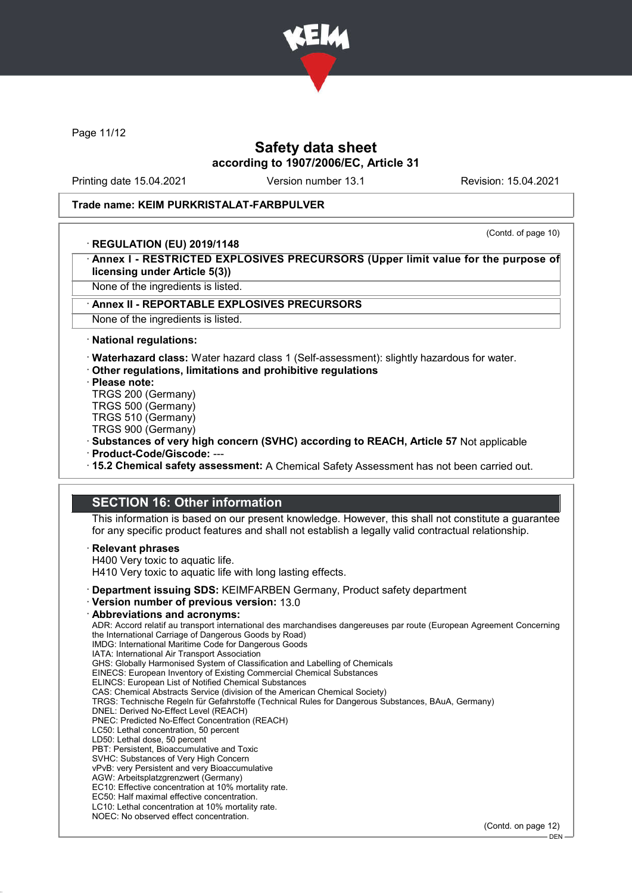

Page 11/12

# Safety data sheet according to 1907/2006/EC, Article 31

Printing date 15.04.2021 Version number 13.1 Revision: 15.04.2021

(Contd. of page 10)

#### Trade name: KEIM PURKRISTALAT-FARBPULVER

#### · REGULATION (EU) 2019/1148

Annex I - RESTRICTED EXPLOSIVES PRECURSORS (Upper limit value for the purpose of licensing under Article 5(3))

None of the ingredients is listed.

#### Annex II - REPORTABLE EXPLOSIVES PRECURSORS

None of the ingredients is listed.

· National regulations:

· Waterhazard class: Water hazard class 1 (Self-assessment): slightly hazardous for water.

- · Other regulations, limitations and prohibitive regulations
- · Please note:

TRGS 200 (Germany)

TRGS 500 (Germany)

TRGS 510 (Germany)

TRGS 900 (Germany)

· Substances of very high concern (SVHC) according to REACH, Article 57 Not applicable

· Product-Code/Giscode: ---

· 15.2 Chemical safety assessment: A Chemical Safety Assessment has not been carried out.

# SECTION 16: Other information

This information is based on our present knowledge. However, this shall not constitute a guarantee for any specific product features and shall not establish a legally valid contractual relationship.

#### **Relevant phrases**

H400 Very toxic to aquatic life. H410 Very toxic to aquatic life with long lasting effects.

- · Department issuing SDS: KEIMFARBEN Germany, Product safety department
- · Version number of previous version: 13.0

#### · Abbreviations and acronyms:

ADR: Accord relatif au transport international des marchandises dangereuses par route (European Agreement Concerning the International Carriage of Dangerous Goods by Road) IMDG: International Maritime Code for Dangerous Goods IATA: International Air Transport Association GHS: Globally Harmonised System of Classification and Labelling of Chemicals EINECS: European Inventory of Existing Commercial Chemical Substances ELINCS: European List of Notified Chemical Substances CAS: Chemical Abstracts Service (division of the American Chemical Society) TRGS: Technische Regeln für Gefahrstoffe (Technical Rules for Dangerous Substances, BAuA, Germany) DNEL: Derived No-Effect Level (REACH) PNEC: Predicted No-Effect Concentration (REACH) LC50: Lethal concentration, 50 percent LD50: Lethal dose, 50 percent PBT: Persistent, Bioaccumulative and Toxic SVHC: Substances of Very High Concern vPvB: very Persistent and very Bioaccumulative AGW: Arbeitsplatzgrenzwert (Germany) EC10: Effective concentration at 10% mortality rate. EC50: Half maximal effective concentration. LC10: Lethal concentration at 10% mortality rate. NOEC: No observed effect concentration.

(Contd. on page 12)